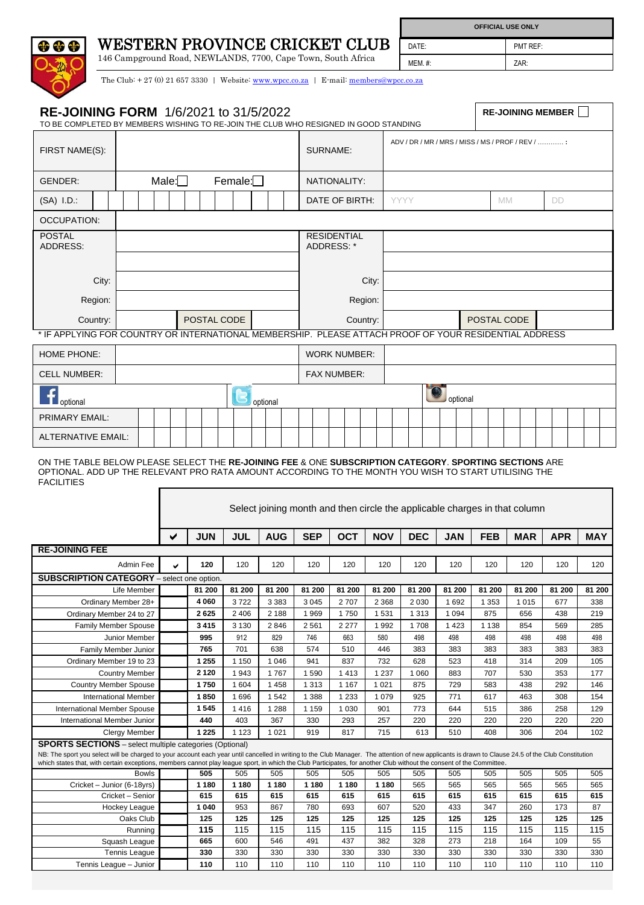## WESTERN PROVINCE CRICKET CLUB

ale die

146 Campground Road, NEWLANDS, 7700, Cape Town, South Africa MEM. #: ZAR:

DATE: PMT REF: **OFFICIAL USE ONLY**

The Club: + 27 (0) 21 657 3330 | Website[: www.wpcc.co.za](http://www.wpcc.co.za/) | E-mail: [members@wpcc.co.za](mailto:members@wpcc.co.za)

| <b>RE-JOINING FORM 1/6/2021 to 31/5/2022</b><br>TO BE COMPLETED BY MEMBERS WISHING TO RE-JOIN THE CLUB WHO RESIGNED IN GOOD STANDING                                                                                                                                                                                                                                                                                                          |              |              |                |                                        |                     |                    |                   |                          |                    |                                                                                                        | <b>RE-JOINING MEMBER</b> |                                                   |                                                                                                        |                                       |     |                |     |                                                      |     |                |     |               |     |               |
|-----------------------------------------------------------------------------------------------------------------------------------------------------------------------------------------------------------------------------------------------------------------------------------------------------------------------------------------------------------------------------------------------------------------------------------------------|--------------|--------------|----------------|----------------------------------------|---------------------|--------------------|-------------------|--------------------------|--------------------|--------------------------------------------------------------------------------------------------------|--------------------------|---------------------------------------------------|--------------------------------------------------------------------------------------------------------|---------------------------------------|-----|----------------|-----|------------------------------------------------------|-----|----------------|-----|---------------|-----|---------------|
| FIRST NAME(S):                                                                                                                                                                                                                                                                                                                                                                                                                                |              |              |                |                                        |                     |                    | SURNAME:          |                          |                    |                                                                                                        |                          | ADV / DR / MR / MRS / MISS / MS / PROF / REV /  : |                                                                                                        |                                       |     |                |     |                                                      |     |                |     |               |     |               |
| GENDER:                                                                                                                                                                                                                                                                                                                                                                                                                                       | Male: $\Box$ |              | NATIONALITY:   |                                        |                     |                    |                   |                          |                    |                                                                                                        |                          |                                                   |                                                                                                        |                                       |     |                |     |                                                      |     |                |     |               |     |               |
| $(SA)$ I.D.:                                                                                                                                                                                                                                                                                                                                                                                                                                  |              |              | Female: $\Box$ |                                        |                     |                    |                   |                          | DATE OF BIRTH:     |                                                                                                        |                          |                                                   |                                                                                                        | <b>YYYY</b><br><b>MM</b><br><b>DD</b> |     |                |     |                                                      |     |                |     |               |     |               |
| <b>OCCUPATION:</b>                                                                                                                                                                                                                                                                                                                                                                                                                            |              |              |                |                                        |                     |                    |                   |                          |                    |                                                                                                        |                          |                                                   |                                                                                                        |                                       |     |                |     |                                                      |     |                |     |               |     |               |
| <b>POSTAL</b>                                                                                                                                                                                                                                                                                                                                                                                                                                 |              |              |                |                                        |                     |                    |                   |                          |                    |                                                                                                        | <b>RESIDENTIAL</b>       |                                                   |                                                                                                        |                                       |     |                |     |                                                      |     |                |     |               |     |               |
| <b>ADDRESS:</b>                                                                                                                                                                                                                                                                                                                                                                                                                               |              |              |                |                                        |                     |                    |                   |                          | ADDRESS: *         |                                                                                                        |                          |                                                   |                                                                                                        |                                       |     |                |     |                                                      |     |                |     |               |     |               |
|                                                                                                                                                                                                                                                                                                                                                                                                                                               |              |              |                |                                        |                     |                    |                   |                          |                    |                                                                                                        |                          |                                                   |                                                                                                        |                                       |     |                |     |                                                      |     |                |     |               |     |               |
| City:                                                                                                                                                                                                                                                                                                                                                                                                                                         |              |              |                |                                        | City:               |                    |                   |                          |                    |                                                                                                        |                          |                                                   |                                                                                                        |                                       |     |                |     |                                                      |     |                |     |               |     |               |
| Region:                                                                                                                                                                                                                                                                                                                                                                                                                                       |              |              |                |                                        |                     |                    |                   |                          | Region:            |                                                                                                        |                          |                                                   |                                                                                                        |                                       |     |                |     |                                                      |     |                |     |               |     |               |
| Country:                                                                                                                                                                                                                                                                                                                                                                                                                                      |              |              | POSTAL CODE    |                                        |                     |                    |                   |                          | Country:           |                                                                                                        |                          |                                                   |                                                                                                        | POSTAL CODE                           |     |                |     |                                                      |     |                |     |               |     |               |
|                                                                                                                                                                                                                                                                                                                                                                                                                                               |              |              |                |                                        |                     |                    |                   |                          |                    | * IF APPLYING FOR COUNTRY OR INTERNATIONAL MEMBERSHIP. PLEASE ATTACH PROOF OF YOUR RESIDENTIAL ADDRESS |                          |                                                   |                                                                                                        |                                       |     |                |     |                                                      |     |                |     |               |     |               |
| <b>HOME PHONE:</b>                                                                                                                                                                                                                                                                                                                                                                                                                            |              |              |                |                                        | <b>WORK NUMBER:</b> |                    |                   |                          |                    |                                                                                                        |                          |                                                   |                                                                                                        |                                       |     |                |     |                                                      |     |                |     |               |     |               |
| <b>CELL NUMBER:</b>                                                                                                                                                                                                                                                                                                                                                                                                                           |              |              |                |                                        |                     | <b>FAX NUMBER:</b> |                   |                          |                    |                                                                                                        |                          |                                                   |                                                                                                        |                                       |     |                |     |                                                      |     |                |     |               |     |               |
|                                                                                                                                                                                                                                                                                                                                                                                                                                               |              |              |                |                                        |                     |                    |                   |                          |                    |                                                                                                        |                          | optional                                          |                                                                                                        |                                       |     |                |     |                                                      |     |                |     |               |     |               |
| optional<br><b>PRIMARY EMAIL:</b>                                                                                                                                                                                                                                                                                                                                                                                                             |              |              |                |                                        |                     |                    | optional          |                          |                    |                                                                                                        |                          |                                                   |                                                                                                        |                                       |     |                |     |                                                      |     |                |     |               |     |               |
|                                                                                                                                                                                                                                                                                                                                                                                                                                               |              |              |                |                                        |                     |                    |                   |                          |                    |                                                                                                        |                          |                                                   |                                                                                                        |                                       |     |                |     |                                                      |     |                |     |               |     |               |
| <b>ALTERNATIVE EMAIL:</b>                                                                                                                                                                                                                                                                                                                                                                                                                     |              |              |                |                                        |                     |                    |                   |                          |                    |                                                                                                        |                          |                                                   |                                                                                                        |                                       |     |                |     |                                                      |     |                |     |               |     |               |
|                                                                                                                                                                                                                                                                                                                                                                                                                                               |              |              |                | <b>JUL</b><br><b>AUG</b><br><b>JUN</b> |                     |                    |                   | <b>OCT</b><br><b>SEP</b> |                    |                                                                                                        |                          | <b>NOV</b>                                        | Select joining month and then circle the applicable charges in that column<br><b>DEC</b><br><b>JAN</b> |                                       |     |                |     | <b>FEB</b><br><b>MAR</b><br><b>APR</b><br><b>MAY</b> |     |                |     |               |     |               |
| <b>RE-JOINING FEE</b>                                                                                                                                                                                                                                                                                                                                                                                                                         |              |              |                |                                        |                     |                    |                   |                          |                    |                                                                                                        |                          |                                                   |                                                                                                        |                                       |     |                |     |                                                      |     |                |     |               |     |               |
|                                                                                                                                                                                                                                                                                                                                                                                                                                               | Admin Fee    |              | ◡              | 120                                    | 120                 |                    | 120               |                          | 120                |                                                                                                        | 120                      |                                                   | 120                                                                                                    | 120                                   |     | 120            |     | 120                                                  |     | 120            |     | 120           |     | 120           |
| <b>SUBSCRIPTION CATEGORY</b> - select one option.                                                                                                                                                                                                                                                                                                                                                                                             |              |              |                |                                        |                     |                    |                   |                          |                    |                                                                                                        |                          |                                                   |                                                                                                        |                                       |     |                |     |                                                      |     |                |     |               |     |               |
| Life Member<br>Ordinary Member 28+                                                                                                                                                                                                                                                                                                                                                                                                            |              |              |                | 81 200<br>4 0 6 0                      | 81 200<br>3722      |                    | 81 200<br>3 3 8 3 |                          | 81 200<br>3 0 4 5  |                                                                                                        | 81 200<br>2707           |                                                   | 81 200<br>2 3 6 8                                                                                      | 81 200<br>2 0 3 0                     |     | 81 200<br>1692 |     | 81 200<br>1 3 5 3                                    |     | 81 200<br>1015 |     | 81 200<br>677 |     | 81 200<br>338 |
| Ordinary Member 24 to 27                                                                                                                                                                                                                                                                                                                                                                                                                      |              |              |                | 2625                                   | 2 4 0 6             |                    | 2 188             |                          | 1969               |                                                                                                        | 1750                     |                                                   | 1531                                                                                                   | 1 3 1 3                               |     | 1 0 9 4        |     | 875                                                  |     | 656            |     | 438           |     | 219           |
| <b>Family Member Spouse</b><br><b>Junior Member</b>                                                                                                                                                                                                                                                                                                                                                                                           |              |              |                | 3415<br>995                            | 3 1 3 0<br>912      |                    | 2846<br>829       |                          | 2561<br>746        |                                                                                                        | 2 2 7 7<br>663           |                                                   | 1992<br>580                                                                                            | 1708<br>498                           |     | 1 4 2 3<br>498 |     | 1 1 3 8<br>498                                       |     | 854<br>498     |     | 569<br>498    |     | 285<br>498    |
| Family Member Junior                                                                                                                                                                                                                                                                                                                                                                                                                          |              |              |                | 765                                    | 701                 |                    | 638               |                          | 574                |                                                                                                        | 510                      |                                                   | 446                                                                                                    | 383                                   |     | 383            |     | 383                                                  |     | 383            |     | 383           |     | 383           |
| Ordinary Member 19 to 23<br><b>Country Member</b>                                                                                                                                                                                                                                                                                                                                                                                             |              |              |                | 1 2 5 5<br>2 1 2 0                     | 1 1 5 0<br>1943     |                    | 1 0 4 6<br>1767   |                          | 941<br>1590        |                                                                                                        | 837<br>1413              |                                                   | 732<br>1 2 3 7                                                                                         | 628<br>1 0 6 0                        |     | 523<br>883     |     | 418<br>707                                           |     | 314<br>530     |     | 209<br>353    |     | 105<br>177    |
| <b>Country Member Spouse</b>                                                                                                                                                                                                                                                                                                                                                                                                                  |              |              | 1750           | 1 604                                  |                     | 1 4 5 8            |                   | 1 3 1 3                  |                    | 1 1 6 7                                                                                                |                          | 1 0 2 1                                           | 875                                                                                                    |                                       | 729 |                | 583 |                                                      | 438 |                | 292 |               | 146 |               |
| <b>International Member</b>                                                                                                                                                                                                                                                                                                                                                                                                                   |              |              |                | 1850<br>1545                           | 1696<br>1416        |                    | 1542<br>1 2 8 8   |                          | 1 3 8 8<br>1 1 5 9 |                                                                                                        | 1 2 3 3<br>1 0 3 0       |                                                   | 1 0 7 9<br>901                                                                                         | 925<br>773                            |     | 771<br>644     |     | 617<br>515                                           |     | 463<br>386     |     | 308<br>258    |     | 154<br>129    |
| <b>International Member Spouse</b><br>International Member Junior                                                                                                                                                                                                                                                                                                                                                                             |              |              |                | 440                                    | 403                 |                    | 367               |                          | 330                |                                                                                                        | 293                      |                                                   | 257                                                                                                    | 220                                   |     | 220            |     | 220                                                  |     | 220            |     | 220           |     | 220           |
| <b>Clergy Member</b>                                                                                                                                                                                                                                                                                                                                                                                                                          |              |              |                | 1 2 2 5                                | 1 1 2 3             |                    | 1 0 2 1           |                          | 919                |                                                                                                        | 817                      |                                                   | 715                                                                                                    | 613                                   |     | 510            |     | 408                                                  |     | 306            |     | 204           |     | 102           |
| <b>SPORTS SECTIONS</b> – select multiple categories (Optional)<br>NB: The sport you select will be charged to your account each year until cancelled in writing to the Club Manager. The attention of new applicants is drawn to Clause 24.5 of the Club Constitution<br>which states that, with certain exceptions, members cannot play league sport, in which the Club Participates, for another Club without the consent of the Committee. |              |              |                |                                        |                     |                    |                   |                          |                    |                                                                                                        |                          |                                                   |                                                                                                        |                                       |     |                |     |                                                      |     |                |     |               |     |               |
|                                                                                                                                                                                                                                                                                                                                                                                                                                               |              | <b>Bowls</b> |                | 505                                    | 505                 |                    | 505               |                          | 505                |                                                                                                        | 505                      |                                                   | 505                                                                                                    | 505                                   |     | 505            |     | 505                                                  |     | 505            |     | 505           |     | 505           |
| Cricket - Junior (6-18yrs)                                                                                                                                                                                                                                                                                                                                                                                                                    |              |              |                | 1 1 8 0                                | 1 1 8 0             |                    | 1 1 8 0           |                          | 1 1 8 0            |                                                                                                        | 1 1 8 0                  |                                                   | 1 1 8 0                                                                                                | 565                                   |     | 565            |     | 565                                                  |     | 565            |     | 565           |     | 565           |
| Cricket - Senior<br>Hockey League                                                                                                                                                                                                                                                                                                                                                                                                             |              |              |                | 615<br>1 0 4 0                         | 615<br>953          |                    | 615<br>867        |                          | 615<br>780         |                                                                                                        | 615<br>693               |                                                   | 615<br>607                                                                                             | 615<br>520                            |     | 615<br>433     |     | 615<br>347                                           |     | 615<br>260     |     | 615<br>173    |     | 615<br>87     |
| Oaks Club                                                                                                                                                                                                                                                                                                                                                                                                                                     |              |              |                | 125                                    | 125                 |                    | 125               |                          | 125                |                                                                                                        | 125                      |                                                   | 125                                                                                                    | 125                                   |     | 125            |     | 125                                                  |     | 125            |     | 125           |     | 125           |
| Running                                                                                                                                                                                                                                                                                                                                                                                                                                       |              |              |                | 115                                    | 115                 |                    | 115               |                          | 115                |                                                                                                        | 115                      |                                                   | 115                                                                                                    | 115                                   |     | 115            |     | 115                                                  |     | 115            |     | 115           |     | 115           |
| Squash League                                                                                                                                                                                                                                                                                                                                                                                                                                 |              |              |                | 665<br>330                             | 600<br>330          |                    | 546<br>330        |                          | 491<br>330         |                                                                                                        | 437<br>330               |                                                   | 382<br>330                                                                                             | 328<br>330                            |     | 273<br>330     |     | 218<br>330                                           |     | 164<br>330     |     | 109<br>330    |     | 55<br>330     |
| <b>Tennis League</b><br>Tennis League - Junior                                                                                                                                                                                                                                                                                                                                                                                                |              |              |                | 110                                    | 110                 |                    | 110               |                          | 110                |                                                                                                        | 110                      |                                                   | 110                                                                                                    | 110                                   |     | 110            |     | 110                                                  |     | 110            |     | 110           |     | 110           |